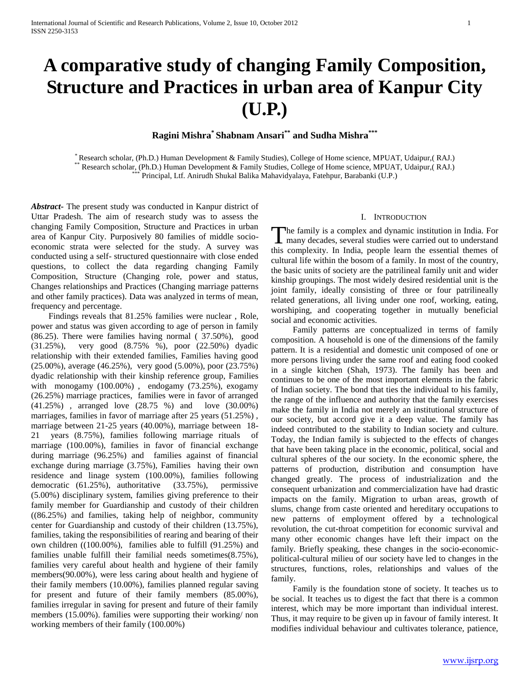# **A comparative study of changing Family Composition, Structure and Practices in urban area of Kanpur City (U.P.)**

# **Ragini Mishra\* Shabnam Ansari\*\* and Sudha Mishra\*\*\***

\* Research scholar, (Ph.D.) Human Development & Family Studies), College of Home science, MPUAT, Udaipur,( RAJ.) \*\* Research scholar, (Ph.D.) Human Development & Family Studies, College of Home science, MPUAT, Udaipur,( RAJ.) \*\*\* Principal, Ltf. Anirudh Shukal Balika Mahavidyalaya, Fatehpur, Barabanki (U.P.)

*Abstract***-** The present study was conducted in Kanpur district of Uttar Pradesh. The aim of research study was to assess the changing Family Composition, Structure and Practices in urban area of Kanpur City. Purposively 80 families of middle socioeconomic strata were selected for the study. A survey was conducted using a self- structured questionnaire with close ended questions, to collect the data regarding changing Family Composition, Structure (Changing role, power and status, Changes relationships and Practices (Changing marriage patterns and other family practices). Data was analyzed in terms of mean, frequency and percentage.

 Findings reveals that 81.25% families were nuclear , Role, power and status was given according to age of person in family (86.25). There were families having normal ( 37.50%), good (31.25%), very good (8.75% %), poor (22.50%) dyadic relationship with their extended families, Families having good (25.00%), average (46.25%), very good (5.00%), poor (23.75%) dyadic relationship with their kinship reference group, Families with monogamy (100.00%) , endogamy (73.25%), exogamy (26.25%) marriage practices, families were in favor of arranged (41.25%) , arranged love (28.75 %) and love (30.00%) marriages, families in favor of marriage after 25 years (51.25%), marriage between 21-25 years (40.00%), marriage between 18- 21 years  $(8.75\%)$ , families following marriage rituals marriage (100.00%), families in favor of financial exchange during marriage (96.25%) and families against of financial exchange during marriage (3.75%), Families having their own residence and linage system (100.00%), families following democratic (61.25%), authoritative (33.75%), permissive (5.00%) disciplinary system, families giving preference to their family member for Guardianship and custody of their children ((86.25%) and families, taking help of neighbor, community center for Guardianship and custody of their children (13.75%), families, taking the responsibilities of rearing and bearing of their own children ((100.00%), families able to fulfill (91.25%) and families unable fulfill their familial needs sometimes(8.75%), families very careful about health and hygiene of their family members(90.00%), were less caring about health and hygiene of their family members (10.00%), families planned regular saving for present and future of their family members (85.00%), families irregular in saving for present and future of their family members (15.00%). families were supporting their working/ non working members of their family (100.00%)

# I. INTRODUCTION

he family is a complex and dynamic institution in India. For The family is a complex and dynamic institution in India. For<br>many decades, several studies were carried out to understand this complexity. In India, people learn the essential themes of cultural life within the bosom of a family. In most of the country, the basic units of society are the patrilineal family unit and wider kinship groupings. The most widely desired residential unit is the joint family, ideally consisting of three or four patrilineally related generations, all living under one roof, working, eating, worshiping, and cooperating together in mutually beneficial social and economic activities.

 Family patterns are conceptualized in terms of family composition. A household is one of the dimensions of the family pattern. It is a residential and domestic unit composed of one or more persons living under the same roof and eating food cooked in a single kitchen (Shah, 1973). The family has been and continues to be one of the most important elements in the fabric of Indian society. The bond that ties the individual to his family, the range of the influence and authority that the family exercises make the family in India not merely an institutional structure of our society, but accord give it a deep value. The family has indeed contributed to the stability to Indian society and culture. Today, the Indian family is subjected to the effects of changes that have been taking place in the economic, political, social and cultural spheres of the our society. In the economic sphere, the patterns of production, distribution and consumption have changed greatly. The process of industrialization and the consequent urbanization and commercialization have had drastic impacts on the family. Migration to urban areas, growth of slums, change from caste oriented and hereditary occupations to new patterns of employment offered by a technological revolution, the cut-throat competition for economic survival and many other economic changes have left their impact on the family. Briefly speaking, these changes in the socio-economicpolitical-cultural milieu of our society have led to changes in the structures, functions, roles, relationships and values of the family.

 Family is the foundation stone of society. It teaches us to be social. It teaches us to digest the fact that there is a common interest, which may be more important than individual interest. Thus, it may require to be given up in favour of family interest. It modifies individual behaviour and cultivates tolerance, patience,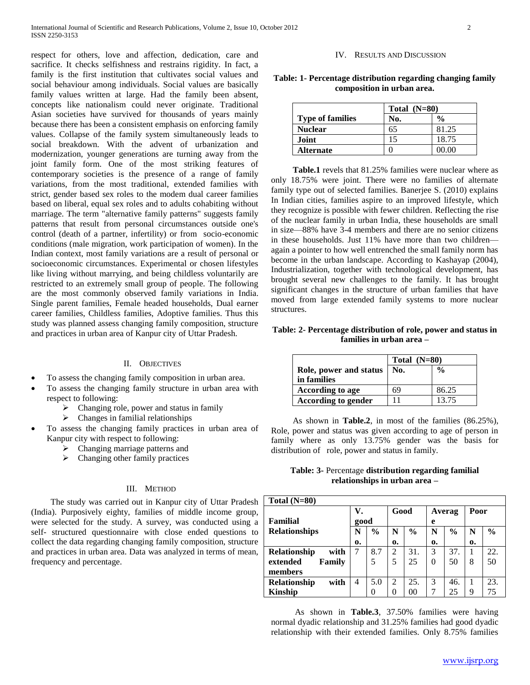respect for others, love and affection, dedication, care and sacrifice. It checks selfishness and restrains rigidity. In fact, a family is the first institution that cultivates social values and social behaviour among individuals. Social values are basically family values written at large. Had the family been absent, concepts like nationalism could never originate. Traditional Asian societies have survived for thousands of years mainly because there has been a consistent emphasis on enforcing family values. Collapse of the family system simultaneously leads to social breakdown. With the advent of urbanization and modernization, younger generations are turning away from the joint family form. One of the most striking features of contemporary societies is the presence of a range of family variations, from the most traditional, extended families with strict, gender based sex roles to the modem dual career families based on liberal, equal sex roles and to adults cohabiting without marriage. The term "alternative family patterns" suggests family patterns that result from personal circumstances outside one's control (death of a partner, infertility) or from socio-economic conditions (male migration, work participation of women). In the Indian context, most family variations are a result of personal or socioeconomic circumstances. Experimental or chosen lifestyles like living without marrying, and being childless voluntarily are restricted to an extremely small group of people. The following are the most commonly observed family variations in India. Single parent families, Female headed households, Dual earner career families, Childless families, Adoptive families. Thus this study was planned assess changing family composition, structure and practices in urban area of Kanpur city of Uttar Pradesh.

### II. OBJECTIVES

- To assess the changing family composition in urban area.
- To assess the changing family structure in urban area with respect to following:
	- $\triangleright$  Changing role, power and status in family
	- $\triangleright$  Changes in familial relationships
- To assess the changing family practices in urban area of Kanpur city with respect to following:
	- $\triangleright$  Changing marriage patterns and
	- $\triangleright$  Changing other family practices

#### III. METHOD

 The study was carried out in Kanpur city of Uttar Pradesh (India). Purposively eighty, families of middle income group, were selected for the study. A survey, was conducted using a self- structured questionnaire with close ended questions to collect the data regarding changing family composition, structure and practices in urban area. Data was analyzed in terms of mean, frequency and percentage.

#### IV. RESULTS AND DISCUSSION

| Table: 1- Percentage distribution regarding changing family |  |
|-------------------------------------------------------------|--|
| composition in urban area.                                  |  |

|                         | Total $(N=80)$ |               |  |  |
|-------------------------|----------------|---------------|--|--|
| <b>Type of families</b> | No.            | $\frac{0}{0}$ |  |  |
| <b>Nuclear</b>          | 65             | 81.25         |  |  |
| Joint                   |                | 18.75         |  |  |
| <b>Alternate</b>        |                | 00.00         |  |  |

 **Table.1** revels that 81.25% families were nuclear where as only 18.75% were joint. There were no families of alternate family type out of selected families. Banerjee S. (2010) explains In Indian cities, families aspire to an improved lifestyle, which they recognize is possible with fewer children. Reflecting the rise of the nuclear family in urban India, these households are small in size—88% have 3-4 members and there are no senior citizens in these households. Just 11% have more than two children again a pointer to how well entrenched the small family norm has become in the urban landscape. According to Kashayap (2004), Industrialization, together with technological development, has brought several new challenges to the family. It has brought significant changes in the structure of urban families that have moved from large extended family systems to more nuclear structures.

# **Table: 2- Percentage distribution of role, power and status in families in urban area –**

|                                       | Total $(N=80)$ |               |  |
|---------------------------------------|----------------|---------------|--|
| Role, power and status<br>in families | No.            | $\frac{0}{0}$ |  |
| According to age                      | 69             | 86.25         |  |
| According to gender                   |                | 13.75         |  |

 As shown in **Table.2**, in most of the families (86.25%), Role, power and status was given according to age of person in family where as only 13.75% gender was the basis for distribution of role, power and status in family.

**Table: 3-** Percentage **distribution regarding familial relationships in urban area –**

| Total $(N=80)$              |      |               |      |               |          |               |      |               |
|-----------------------------|------|---------------|------|---------------|----------|---------------|------|---------------|
|                             | V.   |               | Good |               |          | Averag        | Poor |               |
| Familial                    | good |               |      |               | e        |               |      |               |
| <b>Relationships</b>        |      | $\frac{0}{0}$ | N    | $\frac{6}{6}$ | N        | $\frac{0}{0}$ | N    | $\frac{6}{6}$ |
|                             | 0.   |               | 0.   |               | 0.       |               | 0.   |               |
| with<br><b>Relationship</b> |      | 8.7           | 2    | 31.           | 3        | 37.           | 1    | 22.           |
| Family<br>extended          |      | 5             | 5    | 25            | $\Omega$ | 50            | 8    | 50            |
| members                     |      |               |      |               |          |               |      |               |
| with<br>Relationship        | 4    | 5.0           | 2    | 25.           | 3        | 46.           |      | 23.           |
| Kinship                     |      |               | 0    | 00            | ℸ        | 25            | 9    | 75            |

 As shown in **Table.3**, 37.50% families were having normal dyadic relationship and 31.25% families had good dyadic relationship with their extended families. Only 8.75% families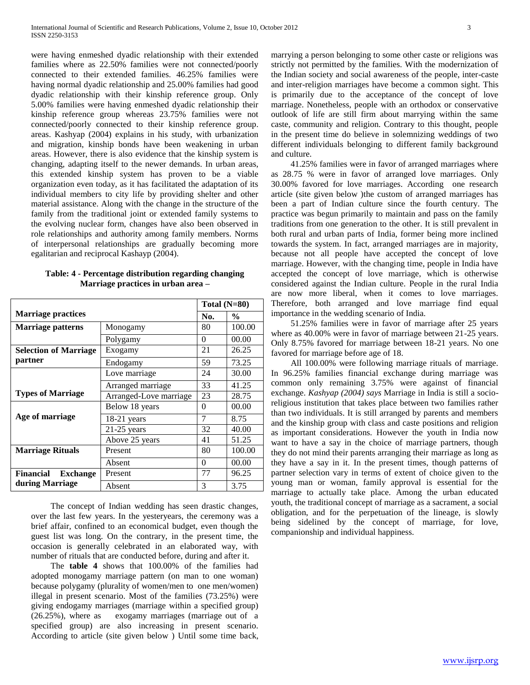were having enmeshed dyadic relationship with their extended families where as 22.50% families were not connected/poorly connected to their extended families. 46.25% families were having normal dyadic relationship and 25.00% families had good dyadic relationship with their kinship reference group. Only 5.00% families were having enmeshed dyadic relationship their kinship reference group whereas 23.75% families were not connected/poorly connected to their kinship reference group. areas. Kashyap (2004) explains in his study, with urbanization and migration, kinship bonds have been weakening in urban areas. However, there is also evidence that the kinship system is changing, adapting itself to the newer demands. In urban areas, this extended kinship system has proven to be a viable organization even today, as it has facilitated the adaptation of its individual members to city life by providing shelter and other material assistance. Along with the change in the structure of the family from the traditional joint or extended family systems to the evolving nuclear form, changes have also been observed in role relationships and authority among family members. Norms of interpersonal relationships are gradually becoming more egalitarian and reciprocal Kashayp (2004).

| Table: 4 - Percentage distribution regarding changing |
|-------------------------------------------------------|
| Marriage practices in urban area –                    |

|                              |                        | Total $(N=80)$ |               |  |
|------------------------------|------------------------|----------------|---------------|--|
| <b>Marriage practices</b>    |                        | No.            | $\frac{0}{0}$ |  |
| <b>Marriage patterns</b>     | Monogamy               |                |               |  |
|                              | Polygamy               | 0              | 00.00         |  |
| <b>Selection of Marriage</b> | Exogamy                | 21             | 26.25         |  |
| partner                      | Endogamy               | 59             | 73.25         |  |
|                              | Love marriage          | 24             | 30.00         |  |
|                              | Arranged marriage      | 33             | 41.25         |  |
| <b>Types of Marriage</b>     | Arranged-Love marriage | 23             | 28.75         |  |
|                              | Below 18 years         | $\Omega$       | 00.00         |  |
| Age of marriage              | $18-21$ years          | $\overline{7}$ | 8.75          |  |
|                              | $21-25$ years          | 32             | 40.00         |  |
|                              | Above 25 years         | 41             | 51.25         |  |
| <b>Marriage Rituals</b>      | Present                | 80             | 100.00        |  |
|                              | Absent                 | $\Omega$       | 00.00         |  |
| Financial<br><b>Exchange</b> | Present                | 77             | 96.25         |  |
| during Marriage              | Absent                 | 3              | 3.75          |  |

 The concept of Indian wedding has seen drastic changes, over the last few years. In the yesteryears, the ceremony was a brief affair, confined to an economical budget, even though the guest list was long. On the contrary, in the present time, the occasion is generally celebrated in an elaborated way, with number of rituals that are conducted before, during and after it.

 The **table 4** shows that 100.00% of the families had adopted monogamy marriage pattern (on man to one woman) because polygamy (plurality of women/men to one men/women) illegal in present scenario. Most of the families (73.25%) were giving endogamy marriages (marriage within a specified group) (26.25%), where as exogamy marriages (marriage out of a specified group) are also increasing in present scenario. According to article (site given below ) Until some time back, marrying a person belonging to some other caste or religions was strictly not permitted by the families. With the modernization of the Indian society and social awareness of the people, inter-caste and inter-religion marriages have become a common sight. This is primarily due to the acceptance of the concept of love marriage. Nonetheless, people with an orthodox or conservative outlook of life are still firm about marrying within the same caste, community and religion. Contrary to this thought, people in the present time do believe in solemnizing weddings of two different individuals belonging to different family background and culture.

 41.25% families were in favor of arranged marriages where as 28.75 % were in favor of arranged love marriages. Only 30.00% favored for love marriages. According one research article (site given below )the custom of arranged marriages has been a part of Indian culture since the fourth century. The practice was begun primarily to maintain and pass on the family traditions from one generation to the other. It is still prevalent in both rural and urban parts of India, former being more inclined towards the system. In fact, arranged marriages are in majority, because not all people have accepted the concept of love marriage. However, with the changing time, people in India have accepted the concept of love marriage, which is otherwise considered against the Indian culture. People in the rural India are now more liberal, when it comes to love marriages. Therefore, both arranged and love marriage find equal importance in the wedding scenario of India.

 51.25% families were in favor of marriage after 25 years where as 40.00% were in favor of marriage between 21-25 years. Only 8.75% favored for marriage between 18-21 years. No one favored for marriage before age of 18.

 All 100.00% were following marriage rituals of marriage. In 96.25% families financial exchange during marriage was common only remaining 3.75% were against of financial exchange. *Kashyap (2004) says* Marriage in India is still a socioreligious institution that takes place between two families rather than two individuals. It is still arranged by parents and members and the kinship group with class and caste positions and religion as important considerations. However the youth in India now want to have a say in the choice of marriage partners, though they do not mind their parents arranging their marriage as long as they have a say in it. In the present times, though patterns of partner selection vary in terms of extent of choice given to the young man or woman, family approval is essential for the marriage to actually take place. Among the urban educated youth, the traditional concept of marriage as a sacrament, a social obligation, and for the perpetuation of the lineage, is slowly being sidelined by the concept of marriage, for love, companionship and individual happiness.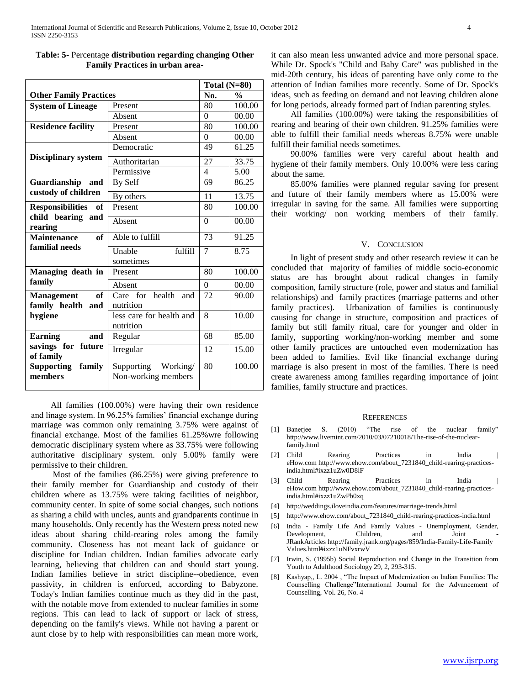|                                              |                                               |                | Total $(N=80)$ |  |  |
|----------------------------------------------|-----------------------------------------------|----------------|----------------|--|--|
| <b>Other Family Practices</b>                |                                               |                | $\frac{0}{0}$  |  |  |
| <b>System of Lineage</b>                     | Present                                       | 80             | 100.00         |  |  |
|                                              | Absent                                        | $\Omega$       | 00.00          |  |  |
| <b>Residence facility</b>                    | Present                                       | 80             | 100.00         |  |  |
|                                              | Absent                                        | $\Omega$       | 00.00          |  |  |
|                                              | Democratic                                    | 49             | 61.25          |  |  |
| <b>Disciplinary system</b>                   | Authoritarian                                 | 27             | 33.75          |  |  |
|                                              | Permissive                                    | $\overline{4}$ | 5.00           |  |  |
| Guardianship<br>and                          | By Self                                       | 69             | 86.25          |  |  |
| custody of children                          | By others                                     | 11             | 13.75          |  |  |
| <b>Responsibilities</b><br>of                | Present                                       | 80             | 100.00         |  |  |
| child bearing and<br>rearing                 | Absent                                        | $\Omega$       | 00.00          |  |  |
| <b>Maintenance</b><br><b>of</b>              | Able to fulfill                               | 73             | 91.25          |  |  |
| familial needs                               | Unable<br>fulfill<br>sometimes                | $\tau$         | 8.75           |  |  |
| Managing death in                            | Present                                       | 80             | 100.00         |  |  |
| family                                       | Absent                                        | $\Omega$       | 00.00          |  |  |
| of<br><b>Management</b><br>family health and | Care for health<br>and<br>nutrition           | 72             | 90.00          |  |  |
| hygiene                                      | less care for health and<br>nutrition         | 8              | 10.00          |  |  |
| <b>Earning</b><br>and                        | Regular                                       | 68             | 85.00          |  |  |
| savings for future<br>of family              | Irregular                                     | 12             | 15.00          |  |  |
| family<br><b>Supporting</b><br>members       | Working/<br>Supporting<br>Non-working members | 80             | 100.00         |  |  |

| Table: 5- Percentage distribution regarding changing Other |  |
|------------------------------------------------------------|--|
| <b>Family Practices in urban area-</b>                     |  |

 All families (100.00%) were having their own residence and linage system. In 96.25% families' financial exchange during marriage was common only remaining 3.75% were against of financial exchange. Most of the families 61.25%wre following democratic disciplinary system where as 33.75% were following authoritative disciplinary system. only 5.00% family were permissive to their children.

 Most of the families (86.25%) were giving preference to their family member for Guardianship and custody of their children where as 13.75% were taking facilities of neighbor, community center. In spite of some social changes, such notions as sharing a child with uncles, aunts and grandparents continue in many households. Only recently has the Western press noted new ideas about sharing child-rearing roles among the family community. Closeness has not meant lack of guidance or discipline for Indian children. Indian families advocate early learning, believing that children can and should start young. Indian families believe in strict discipline--obedience, even passivity, in children is enforced, according to Babyzone. Today's Indian families continue much as they did in the past, with the notable move from extended to nuclear families in some regions. This can lead to lack of support or lack of stress, depending on the family's views. While not having a parent or aunt close by to help with responsibilities can mean more work,

it can also mean less unwanted advice and more personal space. While Dr. Spock's "Child and Baby Care" was published in the mid-20th century, his ideas of parenting have only come to the attention of Indian families more recently. Some of Dr. Spock's ideas, such as feeding on demand and not leaving children alone for long periods, already formed part of Indian parenting styles.

 All families (100.00%) were taking the responsibilities of rearing and bearing of their own children. 91.25% families were able to fulfill their familial needs whereas 8.75% were unable fulfill their familial needs sometimes.

 90.00% families were very careful about health and hygiene of their family members. Only 10.00% were less caring about the same.

 85.00% families were planned regular saving for present and future of their family members where as 15.00% were irregular in saving for the same. All families were supporting their working/ non working members of their family.

#### V. CONCLUSION

 In light of present study and other research review it can be concluded that majority of families of middle socio-economic status are has brought about radical changes in family composition, family structure (role, power and status and familial relationships) and family practices (marriage patterns and other family practices). Urbanization of families is continuously causing for change in structure, composition and practices of family but still family ritual, care for younger and older in family, supporting working/non-working member and some other family practices are untouched even modernization has been added to families. Evil like financial exchange during marriage is also present in most of the families. There is need create awareness among families regarding importance of joint families, family structure and practices.

#### **REFERENCES**

- [1] Banerjee S. (2010) "The rise of the nuclear family" [http://www.livemint.com/2010/03/07210018/The-rise-of-the-nuclear](http://www.livemint.com/2010/03/07210018/The-rise-of-the-nuclear-family.html)[family.html](http://www.livemint.com/2010/03/07210018/The-rise-of-the-nuclear-family.html)
- [2] Child Rearing Practices in India | [eHow.com](http://www.ehow.com/about_7231840_child-rearing-practices-india.html#ixzz1uZw0D8lF) [http://www.ehow.com/about\\_7231840\\_child-rearing-practices](http://www.ehow.com/about_7231840_child-rearing-practices-india.html#ixzz1uZw0D8lF)[india.html#ixzz1uZw0D8lF](http://www.ehow.com/about_7231840_child-rearing-practices-india.html#ixzz1uZw0D8lF)
- [3] Child Rearing Practices in India | [eHow.com](http://www.ehow.com/about_7231840_child-rearing-practices-india.html#ixzz1uZwPb0xq) [http://www.ehow.com/about\\_7231840\\_child-rearing-practices](http://www.ehow.com/about_7231840_child-rearing-practices-india.html#ixzz1uZwPb0xq)[india.html#ixzz1uZwPb0xq](http://www.ehow.com/about_7231840_child-rearing-practices-india.html#ixzz1uZwPb0xq)
- [4] <http://weddings.iloveindia.com/features/marriage-trends.html>
- [5] [http://www.ehow.com/about\\_7231840\\_child-rearing-practices-india.html](http://www.ehow.com/about_7231840_child-rearing-practices-india.html)
- [6] India [Family Life And Family Values -](../Documents/India%20-%20Family%20Life%20And%20Family%20Values%20-%20Unemployment,%20Gender,%20Development,%20Children,%20and%20Joint%20-%20%20%20JRankArticles) Unemployment, Gender, Development, Children, and Joint [JRankArticles](../Documents/India%20-%20Family%20Life%20And%20Family%20Values%20-%20Unemployment,%20Gender,%20Development,%20Children,%20and%20Joint%20-%20%20%20JRankArticles) [http://family.jrank.org/pages/859/India-Family-Life-Family](http://family.jrank.org/pages/859/India-Family-Life-Family%20Values.html#ixzz1uNFvxrwV)  [Values.html#ixzz1uNFvxrwV](http://family.jrank.org/pages/859/India-Family-Life-Family%20Values.html#ixzz1uNFvxrwV)
- [7] Irwin, S. (1995b) Social Reproduction and Change in the Transition from Youth to Adulthood Sociology 29, 2, 293-315.
- [8] Kashyap,, L. 2004, "The Impact of Modernization on Indian Families: The Counselling Challenge"International Journal for the Advancement of Counselling, Vol. 26, No. 4